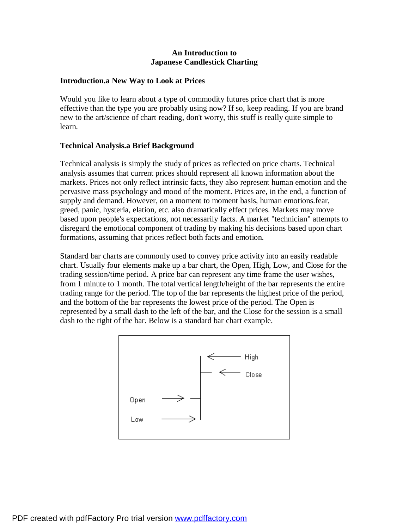### **An Introduction to Japanese Candlestick Charting**

### **Introduction.a New Way to Look at Prices**

Would you like to learn about a type of commodity futures price chart that is more effective than the type you are probably using now? If so, keep reading. If you are brand new to the art/science of chart reading, don't worry, this stuff is really quite simple to learn.

### **Technical Analysis.a Brief Background**

Technical analysis is simply the study of prices as reflected on price charts. Technical analysis assumes that current prices should represent all known information about the markets. Prices not only reflect intrinsic facts, they also represent human emotion and the pervasive mass psychology and mood of the moment. Prices are, in the end, a function of supply and demand. However, on a moment to moment basis, human emotions.fear, greed, panic, hysteria, elation, etc. also dramatically effect prices. Markets may move based upon people's expectations, not necessarily facts. A market "technician" attempts to disregard the emotional component of trading by making his decisions based upon chart formations, assuming that prices reflect both facts and emotion.

Standard bar charts are commonly used to convey price activity into an easily readable chart. Usually four elements make up a bar chart, the Open, High, Low, and Close for the trading session/time period. A price bar can represent any time frame the user wishes, from 1 minute to 1 month. The total vertical length/height of the bar represents the entire trading range for the period. The top of the bar represents the highest price of the period, and the bottom of the bar represents the lowest price of the period. The Open is represented by a small dash to the left of the bar, and the Close for the session is a small dash to the right of the bar. Below is a standard bar chart example.

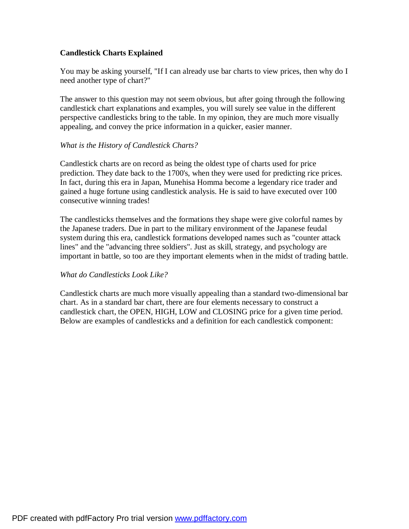# **Candlestick Charts Explained**

You may be asking yourself, "If I can already use bar charts to view prices, then why do I need another type of chart?"

The answer to this question may not seem obvious, but after going through the following candlestick chart explanations and examples, you will surely see value in the different perspective candlesticks bring to the table. In my opinion, they are much more visually appealing, and convey the price information in a quicker, easier manner.

#### *What is the History of Candlestick Charts?*

Candlestick charts are on record as being the oldest type of charts used for price prediction. They date back to the 1700's, when they were used for predicting rice prices. In fact, during this era in Japan, Munehisa Homma become a legendary rice trader and gained a huge fortune using candlestick analysis. He is said to have executed over 100 consecutive winning trades!

The candlesticks themselves and the formations they shape were give colorful names by the Japanese traders. Due in part to the military environment of the Japanese feudal system during this era, candlestick formations developed names such as "counter attack lines" and the "advancing three soldiers". Just as skill, strategy, and psychology are important in battle, so too are they important elements when in the midst of trading battle.

#### *What do Candlesticks Look Like?*

Candlestick charts are much more visually appealing than a standard two-dimensional bar chart. As in a standard bar chart, there are four elements necessary to construct a candlestick chart, the OPEN, HIGH, LOW and CLOSING price for a given time period. Below are examples of candlesticks and a definition for each candlestick component: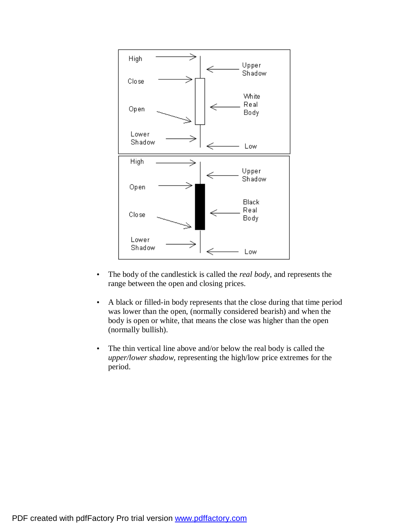

- The body of the candlestick is called the *real body*, and represents the range between the open and closing prices.
- A black or filled-in body represents that the close during that time period was lower than the open, (normally considered bearish) and when the body is open or white, that means the close was higher than the open (normally bullish).
- The thin vertical line above and/or below the real body is called the *upper/lower shadow,* representing the high/low price extremes for the period.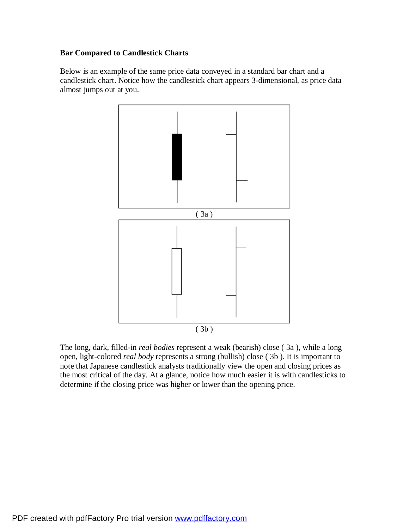# **Bar Compared to Candlestick Charts**

Below is an example of the same price data conveyed in a standard bar chart and a candlestick chart. Notice how the candlestick chart appears 3-dimensional, as price data almost jumps out at you.



The long, dark, filled-in *real bodies* represent a weak (bearish) close ( 3a ), while a long open, light-colored *real body* represents a strong (bullish) close ( 3b ). It is important to note that Japanese candlestick analysts traditionally view the open and closing prices as the most critical of the day. At a glance, notice how much easier it is with candlesticks to determine if the closing price was higher or lower than the opening price.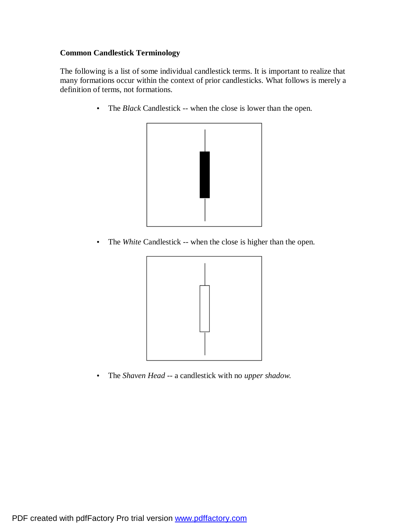# **Common Candlestick Terminology**

The following is a list of some individual candlestick terms. It is important to realize that many formations occur within the context of prior candlesticks. What follows is merely a definition of terms, not formations.

• The *Black* Candlestick -- when the close is lower than the open.



• The *White* Candlestick -- when the close is higher than the open.



• The *Shaven Head* -- a candlestick with no *upper shadow.*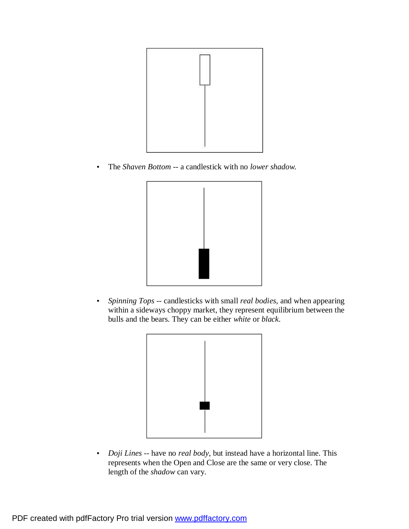

• The *Shaven Bottom* -- a candlestick with no *lower shadow.*



• *Spinning Tops --* candlesticks with small *real bodies*, and when appearing within a sideways choppy market, they represent equilibrium between the bulls and the bears. They can be either *white* or *black*.



• *Doji Lines* -- have no *real body*, but instead have a horizontal line. This represents when the Open and Close are the same or very close. The length of the *shadow* can vary.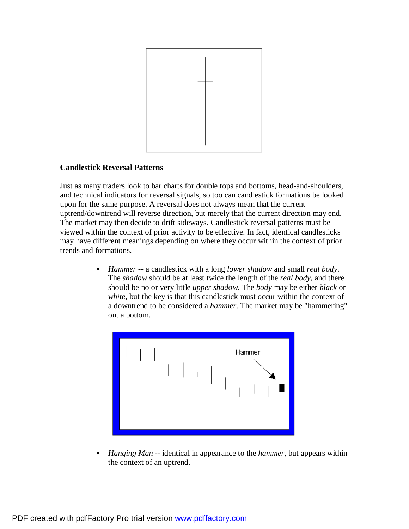

### **Candlestick Reversal Patterns**

Just as many traders look to bar charts for double tops and bottoms, head-and-shoulders, and technical indicators for reversal signals, so too can candlestick formations be looked upon for the same purpose. A reversal does not always mean that the current uptrend/downtrend will reverse direction, but merely that the current direction may end. The market may then decide to drift sideways. Candlestick reversal patterns must be viewed within the context of prior activity to be effective. In fact, identical candlesticks may have different meanings depending on where they occur within the context of prior trends and formations.

> • *Hammer* -- a candlestick with a long *lower shadow* and small *real body*. The *shadow* should be at least twice the length of the *real body*, and there should be no or very little *upper shadow*. The *body* may be either *black* or *white*, but the key is that this candlestick must occur within the context of a downtrend to be considered a *hammer*. The market may be "hammering" out a bottom.



• *Hanging Man* -- identical in appearance to the *hammer*, but appears within the context of an uptrend.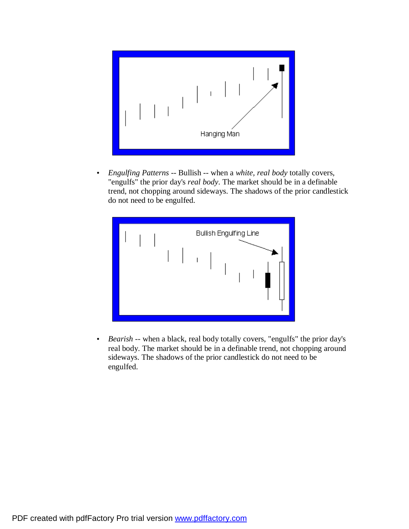

• *Engulfing Patterns* -- Bullish -- when a *white, real body* totally covers, "engulfs" the prior day's *real body*. The market should be in a definable trend, not chopping around sideways. The shadows of the prior candlestick do not need to be engulfed.



• *Bearish* -- when a black, real body totally covers, "engulfs" the prior day's real body. The market should be in a definable trend, not chopping around sideways. The shadows of the prior candlestick do not need to be engulfed.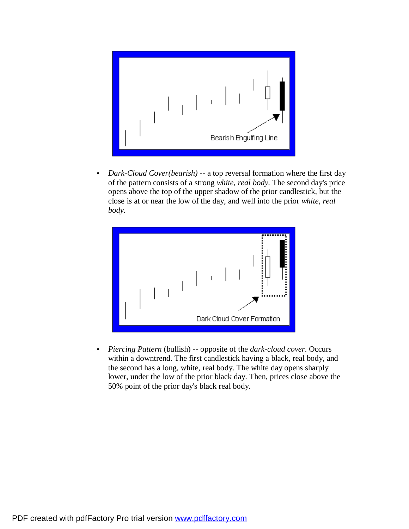

• *Dark-Cloud Cover(bearish)* -- a top reversal formation where the first day of the pattern consists of a strong *white, real body.* The second day's price opens above the top of the upper shadow of the prior candlestick, but the close is at or near the low of the day, and well into the prior *white, real body.*



• *Piercing Pattern* (bullish) -- opposite of the *dark-cloud cover*. Occurs within a downtrend. The first candlestick having a black, real body, and the second has a long, white, real body. The white day opens sharply lower, under the low of the prior black day. Then, prices close above the 50% point of the prior day's black real body.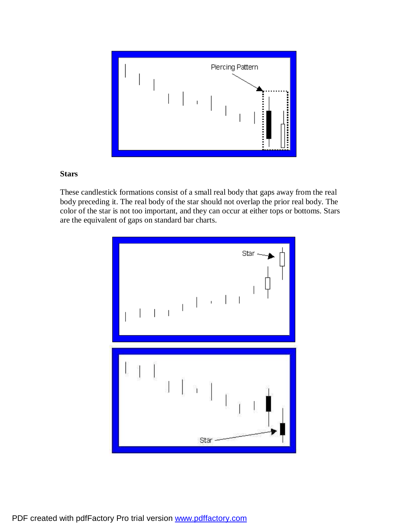

#### **Stars**

These candlestick formations consist of a small real body that gaps away from the real body preceding it. The real body of the star should not overlap the prior real body. The color of the star is not too important, and they can occur at either tops or bottoms. Stars are the equivalent of gaps on standard bar charts.

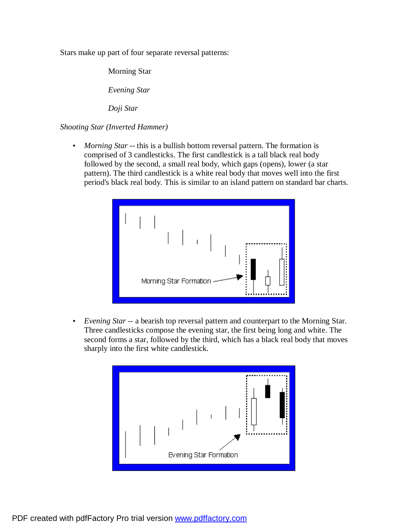Stars make up part of four separate reversal patterns:

Morning Star

*Evening Star*

*Doji Star*

*Shooting Star (Inverted Hammer)*

• *Morning Star* -- this is a bullish bottom reversal pattern. The formation is comprised of 3 candlesticks. The first candlestick is a tall black real body followed by the second, a small real body, which gaps (opens), lower (a star pattern). The third candlestick is a white real body that moves well into the first period's black real body. This is similar to an island pattern on standard bar charts.



• *Evening Star* -- a bearish top reversal pattern and counterpart to the Morning Star. Three candlesticks compose the evening star, the first being long and white. The second forms a star, followed by the third, which has a black real body that moves sharply into the first white candlestick.

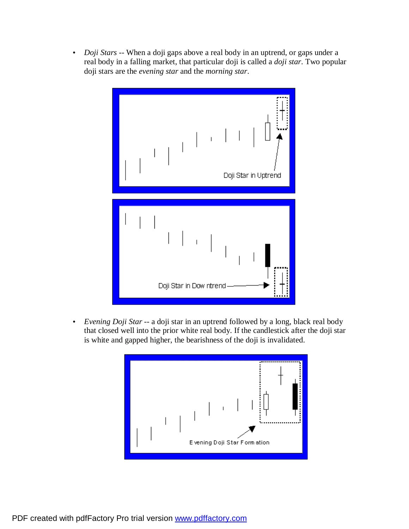• *Doji Stars* -- When a doji gaps above a real body in an uptrend, or gaps under a real body in a falling market, that particular doji is called a *doji star*. Two popular doji stars are the *evening star* and the *morning star*.



• *Evening Doji Star* -- a doji star in an uptrend followed by a long, black real body that closed well into the prior white real body. If the candlestick after the doji star is white and gapped higher, the bearishness of the doji is invalidated.

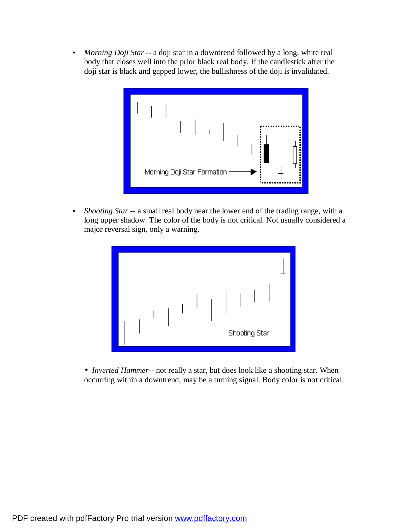• *Morning Doji Star* -- a doji star in a downtrend followed by a long, white real body that closes well into the prior black real body. If the candlestick after the doji star is black and gapped lower, the bullishness of the doji is invalidated.



• *Shooting Star* -- a small real body near the lower end of the trading range, with a long upper shadow. The color of the body is not critical. Not usually considered a major reversal sign, only a warning.



• *Inverted Hammer*-- not really a star, but does look like a shooting star. When occurring within a downtrend, may be a turning signal. Body color is not critical.